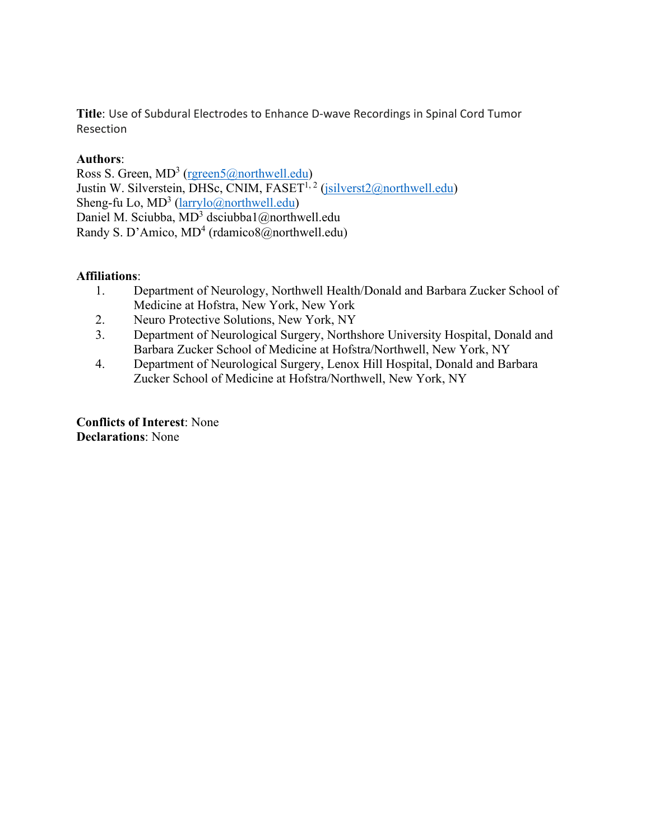**Title**: Use of Subdural Electrodes to Enhance D-wave Recordings in Spinal Cord Tumor Resection

## **Authors**:

Ross S. Green, MD<sup>3</sup> [\(rgreen5@northwell.edu\)](mailto:rgreen5@northwell.edu) Justin W. Silverstein, DHSc, CNIM,  $FASET^{1,2}$  [\(jsilverst2@northwell.edu\)](mailto:jsilverst2@northwell.edu) Sheng-fu Lo,  $MD^3$  [\(larrylo@northwell.edu\)](mailto:larrylo@northwell.edu) Daniel M. Sciubba, MD<sup>3</sup> dsciubba1@northwell.edu Randy S. D'Amico, MD<sup>4</sup> (rdamico8@northwell.edu)

## **Affiliations**:

- 1. Department of Neurology, Northwell Health/Donald and Barbara Zucker School of Medicine at Hofstra, New York, New York
- 2. Neuro Protective Solutions, New York, NY
- 3. Department of Neurological Surgery, Northshore University Hospital, Donald and Barbara Zucker School of Medicine at Hofstra/Northwell, New York, NY
- 4. Department of Neurological Surgery, Lenox Hill Hospital, Donald and Barbara Zucker School of Medicine at Hofstra/Northwell, New York, NY

**Conflicts of Interest**: None **Declarations**: None